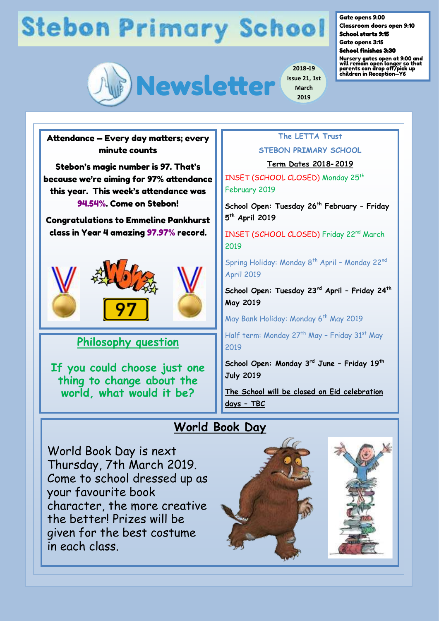# **Stebon Primary School**



Gate opens 9:00

Classroom doors open 9:10 School starts 9:15

Gate opens 3:15

School finishes 3:30

Nursery gates open at 9:00 and will remain open longer so that parents can drop off/pick up children in Reception—Y6

Attendance — Every day matters; every minute counts

Stebon's magic number is 97. That's because we're aiming for 97% attendance this year. This week's attendance was 94.54%. Come on Stebon!

Congratulations to Emmeline Pankhurst class in Year 4 amazing 97.97% record.



### **Philosophy question**

**If you could choose just one thing to change about the world, what would it be?**

**2019**

**2018-19 Issue 21, 1st March**

**STEBON PRIMARY SCHOOL**

**The LETTA Trust** 

**Term Dates 2018-2019** 

INSET (SCHOOL CLOSED) Monday 25<sup>th</sup> February 2019

**School Open: Tuesday 26th February – Friday 5 th April 2019**

INSET (SCHOOL CLOSED) Friday 22<sup>nd</sup> March 2019

Spring Holiday: Monday 8<sup>th</sup> April - Monday 22<sup>nd</sup> April 2019

**School Open: Tuesday 23rd April – Friday 24th May 2019**

May Bank Holiday: Monday 6<sup>th</sup> May 2019

Half term: Monday 27<sup>th</sup> May - Friday 31<sup>st</sup> May 2019

**School Open: Monday 3rd June – Friday 19th July 2019**

**The School will be closed on Eid celebration days – TBC** 

## **World Book Day**

World Book Day is next Thursday, 7th March 2019. Come to school dressed up as your favourite book character, the more creative the better! Prizes will be given for the best costume in each class.